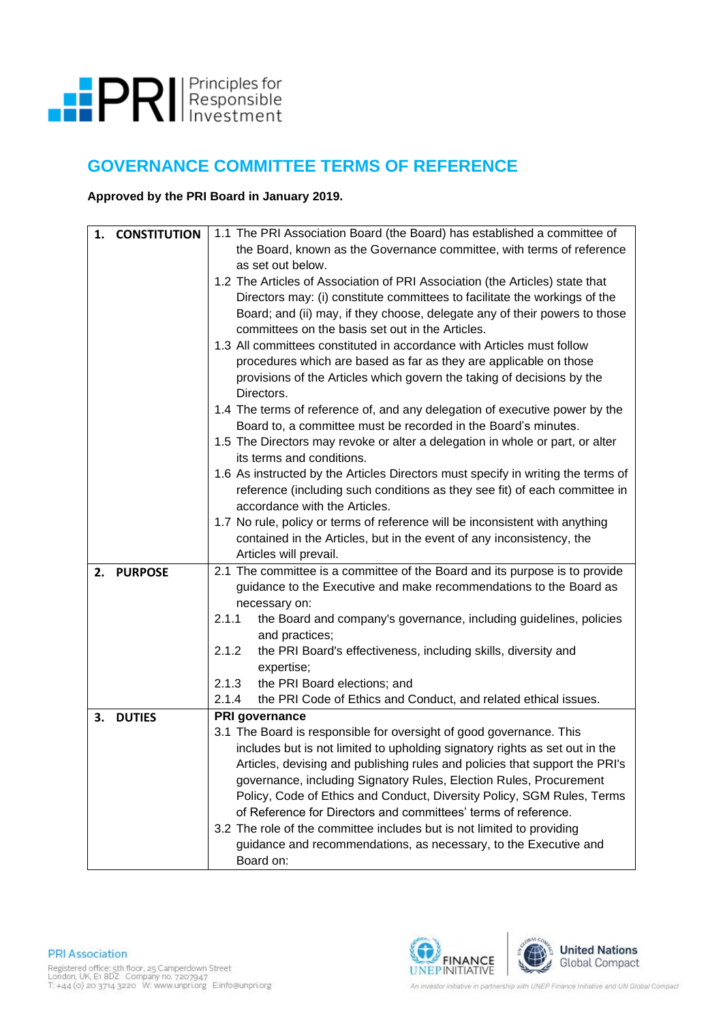

## **GOVERNANCE COMMITTEE TERMS OF REFERENCE**

**Approved by the PRI Board in January 2019.**

| 1. | <b>CONSTITUTION</b> | 1.1 The PRI Association Board (the Board) has established a committee of<br>the Board, known as the Governance committee, with terms of reference<br>as set out below. |  |  |  |  |
|----|---------------------|------------------------------------------------------------------------------------------------------------------------------------------------------------------------|--|--|--|--|
|    |                     | 1.2 The Articles of Association of PRI Association (the Articles) state that                                                                                           |  |  |  |  |
|    |                     | Directors may: (i) constitute committees to facilitate the workings of the                                                                                             |  |  |  |  |
|    |                     | Board; and (ii) may, if they choose, delegate any of their powers to those                                                                                             |  |  |  |  |
|    |                     | committees on the basis set out in the Articles.                                                                                                                       |  |  |  |  |
|    |                     | 1.3 All committees constituted in accordance with Articles must follow                                                                                                 |  |  |  |  |
|    |                     | procedures which are based as far as they are applicable on those                                                                                                      |  |  |  |  |
|    |                     | provisions of the Articles which govern the taking of decisions by the<br>Directors.                                                                                   |  |  |  |  |
|    |                     | 1.4 The terms of reference of, and any delegation of executive power by the                                                                                            |  |  |  |  |
|    |                     | Board to, a committee must be recorded in the Board's minutes.                                                                                                         |  |  |  |  |
|    |                     | 1.5 The Directors may revoke or alter a delegation in whole or part, or alter<br>its terms and conditions.                                                             |  |  |  |  |
|    |                     | 1.6 As instructed by the Articles Directors must specify in writing the terms of                                                                                       |  |  |  |  |
|    |                     | reference (including such conditions as they see fit) of each committee in                                                                                             |  |  |  |  |
|    |                     | accordance with the Articles.                                                                                                                                          |  |  |  |  |
|    |                     | 1.7 No rule, policy or terms of reference will be inconsistent with anything                                                                                           |  |  |  |  |
|    |                     | contained in the Articles, but in the event of any inconsistency, the                                                                                                  |  |  |  |  |
|    |                     | Articles will prevail.                                                                                                                                                 |  |  |  |  |
| 2. | <b>PURPOSE</b>      | 2.1 The committee is a committee of the Board and its purpose is to provide                                                                                            |  |  |  |  |
|    |                     | guidance to the Executive and make recommendations to the Board as                                                                                                     |  |  |  |  |
|    |                     | necessary on:                                                                                                                                                          |  |  |  |  |
|    |                     | the Board and company's governance, including guidelines, policies<br>2.1.1<br>and practices;                                                                          |  |  |  |  |
|    |                     | the PRI Board's effectiveness, including skills, diversity and<br>2.1.2                                                                                                |  |  |  |  |
|    |                     | expertise;                                                                                                                                                             |  |  |  |  |
|    |                     | 2.1.3<br>the PRI Board elections; and                                                                                                                                  |  |  |  |  |
|    |                     | 2.1.4<br>the PRI Code of Ethics and Conduct, and related ethical issues.                                                                                               |  |  |  |  |
| 3. | <b>DUTIES</b>       | PRI governance                                                                                                                                                         |  |  |  |  |
|    |                     | 3.1 The Board is responsible for oversight of good governance. This                                                                                                    |  |  |  |  |
|    |                     | includes but is not limited to upholding signatory rights as set out in the                                                                                            |  |  |  |  |
|    |                     | Articles, devising and publishing rules and policies that support the PRI's                                                                                            |  |  |  |  |
|    |                     | governance, including Signatory Rules, Election Rules, Procurement                                                                                                     |  |  |  |  |
|    |                     | Policy, Code of Ethics and Conduct, Diversity Policy, SGM Rules, Terms                                                                                                 |  |  |  |  |
|    |                     | of Reference for Directors and committees' terms of reference.                                                                                                         |  |  |  |  |
|    |                     | 3.2 The role of the committee includes but is not limited to providing                                                                                                 |  |  |  |  |
|    |                     | guidance and recommendations, as necessary, to the Executive and                                                                                                       |  |  |  |  |
|    |                     | Board on:                                                                                                                                                              |  |  |  |  |

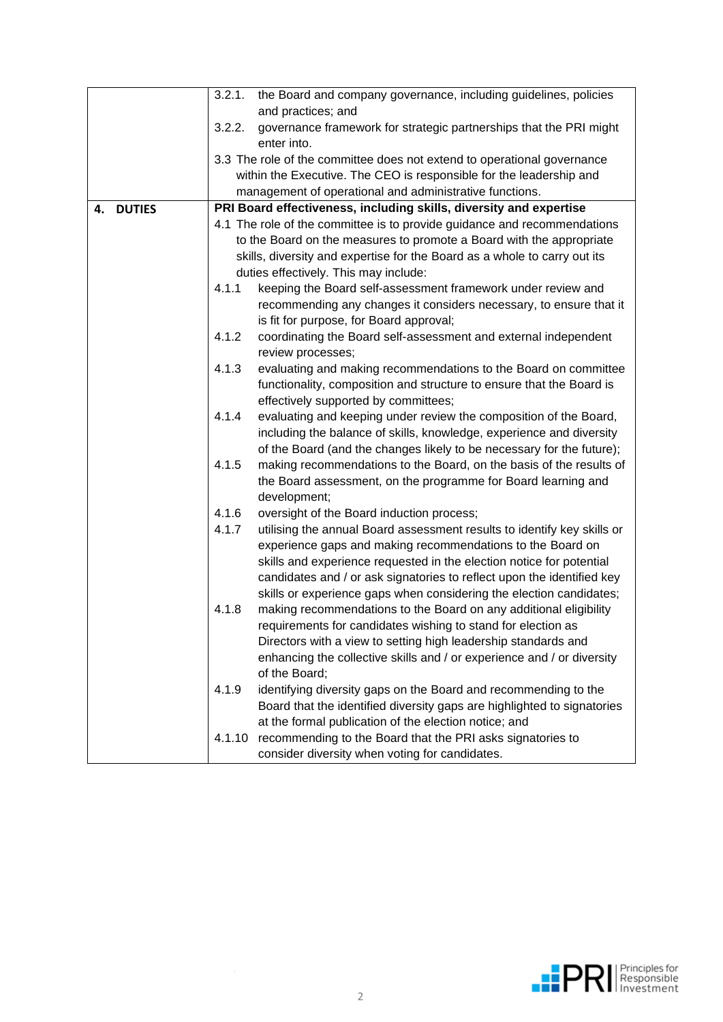|                     | the Board and company governance, including guidelines, policies<br>3.2.1.                                                    |                                                                                                                                            |  |  |  |  |
|---------------------|-------------------------------------------------------------------------------------------------------------------------------|--------------------------------------------------------------------------------------------------------------------------------------------|--|--|--|--|
|                     | and practices; and                                                                                                            |                                                                                                                                            |  |  |  |  |
|                     | 3.2.2.<br>governance framework for strategic partnerships that the PRI might                                                  |                                                                                                                                            |  |  |  |  |
|                     | enter into.                                                                                                                   |                                                                                                                                            |  |  |  |  |
|                     | 3.3 The role of the committee does not extend to operational governance                                                       |                                                                                                                                            |  |  |  |  |
|                     | within the Executive. The CEO is responsible for the leadership and                                                           |                                                                                                                                            |  |  |  |  |
|                     | management of operational and administrative functions.                                                                       |                                                                                                                                            |  |  |  |  |
| <b>DUTIES</b><br>4. |                                                                                                                               | PRI Board effectiveness, including skills, diversity and expertise                                                                         |  |  |  |  |
|                     |                                                                                                                               | 4.1 The role of the committee is to provide guidance and recommendations                                                                   |  |  |  |  |
|                     | to the Board on the measures to promote a Board with the appropriate                                                          |                                                                                                                                            |  |  |  |  |
|                     | skills, diversity and expertise for the Board as a whole to carry out its                                                     |                                                                                                                                            |  |  |  |  |
|                     | duties effectively. This may include:                                                                                         |                                                                                                                                            |  |  |  |  |
|                     | 4.1.1                                                                                                                         | keeping the Board self-assessment framework under review and                                                                               |  |  |  |  |
|                     |                                                                                                                               | recommending any changes it considers necessary, to ensure that it                                                                         |  |  |  |  |
|                     |                                                                                                                               | is fit for purpose, for Board approval;                                                                                                    |  |  |  |  |
|                     | 4.1.2                                                                                                                         | coordinating the Board self-assessment and external independent                                                                            |  |  |  |  |
|                     |                                                                                                                               | review processes;                                                                                                                          |  |  |  |  |
|                     | 4.1.3                                                                                                                         | evaluating and making recommendations to the Board on committee                                                                            |  |  |  |  |
|                     |                                                                                                                               | functionality, composition and structure to ensure that the Board is                                                                       |  |  |  |  |
|                     |                                                                                                                               | effectively supported by committees;                                                                                                       |  |  |  |  |
|                     | 4.1.4                                                                                                                         | evaluating and keeping under review the composition of the Board,                                                                          |  |  |  |  |
|                     |                                                                                                                               | including the balance of skills, knowledge, experience and diversity                                                                       |  |  |  |  |
|                     |                                                                                                                               | of the Board (and the changes likely to be necessary for the future);                                                                      |  |  |  |  |
|                     | 4.1.5                                                                                                                         | making recommendations to the Board, on the basis of the results of                                                                        |  |  |  |  |
|                     | the Board assessment, on the programme for Board learning and                                                                 |                                                                                                                                            |  |  |  |  |
|                     |                                                                                                                               | development;                                                                                                                               |  |  |  |  |
|                     | 4.1.6                                                                                                                         | oversight of the Board induction process;                                                                                                  |  |  |  |  |
|                     | 4.1.7                                                                                                                         | utilising the annual Board assessment results to identify key skills or                                                                    |  |  |  |  |
|                     |                                                                                                                               | experience gaps and making recommendations to the Board on                                                                                 |  |  |  |  |
|                     |                                                                                                                               | skills and experience requested in the election notice for potential                                                                       |  |  |  |  |
|                     |                                                                                                                               | candidates and / or ask signatories to reflect upon the identified key                                                                     |  |  |  |  |
|                     |                                                                                                                               | skills or experience gaps when considering the election candidates;                                                                        |  |  |  |  |
|                     | 4.1.8                                                                                                                         | making recommendations to the Board on any additional eligibility                                                                          |  |  |  |  |
|                     |                                                                                                                               | requirements for candidates wishing to stand for election as                                                                               |  |  |  |  |
|                     |                                                                                                                               | Directors with a view to setting high leadership standards and                                                                             |  |  |  |  |
|                     |                                                                                                                               | enhancing the collective skills and / or experience and / or diversity                                                                     |  |  |  |  |
| of the Board;       |                                                                                                                               |                                                                                                                                            |  |  |  |  |
|                     | 4.1.9                                                                                                                         | identifying diversity gaps on the Board and recommending to the<br>Board that the identified diversity gaps are highlighted to signatories |  |  |  |  |
|                     |                                                                                                                               |                                                                                                                                            |  |  |  |  |
|                     | at the formal publication of the election notice; and<br>recommending to the Board that the PRI asks signatories to<br>4.1.10 |                                                                                                                                            |  |  |  |  |
|                     |                                                                                                                               |                                                                                                                                            |  |  |  |  |
|                     |                                                                                                                               | consider diversity when voting for candidates.                                                                                             |  |  |  |  |

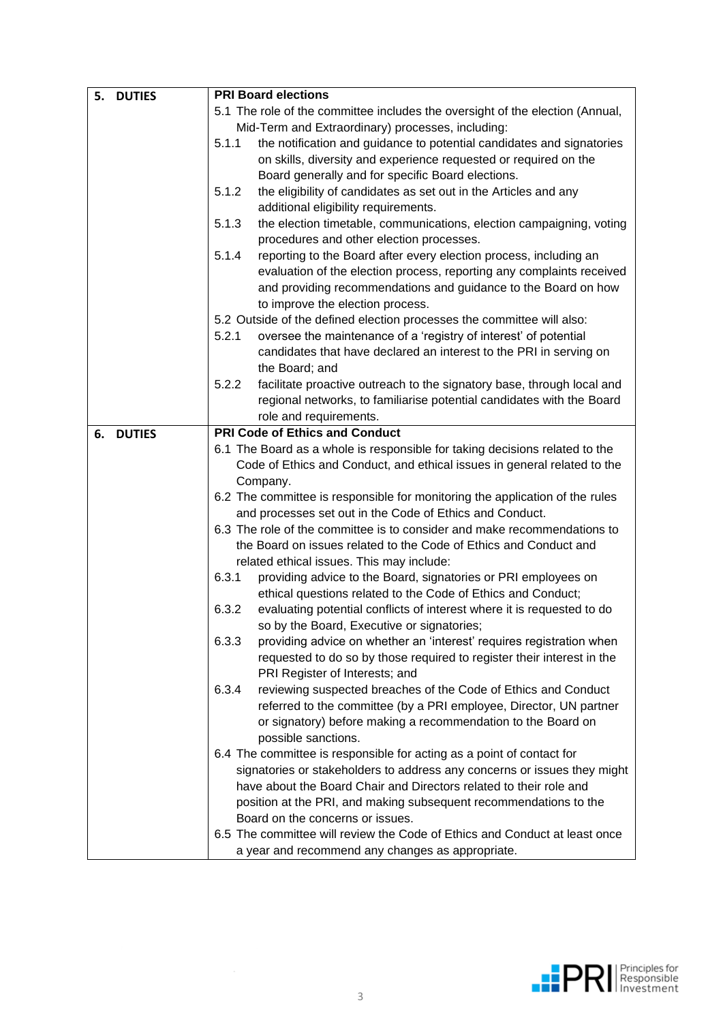| <b>DUTIES</b><br>5. | <b>PRI Board elections</b>                                                                                                                     |                                                                                                                      |  |  |
|---------------------|------------------------------------------------------------------------------------------------------------------------------------------------|----------------------------------------------------------------------------------------------------------------------|--|--|
|                     | 5.1 The role of the committee includes the oversight of the election (Annual,                                                                  |                                                                                                                      |  |  |
|                     | Mid-Term and Extraordinary) processes, including:                                                                                              |                                                                                                                      |  |  |
|                     | 5.1.1                                                                                                                                          | the notification and guidance to potential candidates and signatories                                                |  |  |
|                     |                                                                                                                                                | on skills, diversity and experience requested or required on the                                                     |  |  |
|                     |                                                                                                                                                | Board generally and for specific Board elections.                                                                    |  |  |
|                     | 5.1.2                                                                                                                                          | the eligibility of candidates as set out in the Articles and any                                                     |  |  |
|                     |                                                                                                                                                | additional eligibility requirements.                                                                                 |  |  |
|                     | 5.1.3                                                                                                                                          | the election timetable, communications, election campaigning, voting                                                 |  |  |
|                     |                                                                                                                                                | procedures and other election processes.                                                                             |  |  |
|                     | 5.1.4                                                                                                                                          | reporting to the Board after every election process, including an                                                    |  |  |
|                     |                                                                                                                                                | evaluation of the election process, reporting any complaints received                                                |  |  |
|                     |                                                                                                                                                | and providing recommendations and guidance to the Board on how                                                       |  |  |
|                     | to improve the election process.                                                                                                               |                                                                                                                      |  |  |
|                     | 5.2 Outside of the defined election processes the committee will also:                                                                         |                                                                                                                      |  |  |
|                     | 5.2.1                                                                                                                                          | oversee the maintenance of a 'registry of interest' of potential                                                     |  |  |
|                     |                                                                                                                                                | candidates that have declared an interest to the PRI in serving on                                                   |  |  |
|                     |                                                                                                                                                | the Board; and                                                                                                       |  |  |
|                     | 5.2.2                                                                                                                                          | facilitate proactive outreach to the signatory base, through local and                                               |  |  |
|                     |                                                                                                                                                | regional networks, to familiarise potential candidates with the Board                                                |  |  |
|                     |                                                                                                                                                | role and requirements.                                                                                               |  |  |
| <b>DUTIES</b><br>6. |                                                                                                                                                | <b>PRI Code of Ethics and Conduct</b>                                                                                |  |  |
|                     | 6.1 The Board as a whole is responsible for taking decisions related to the                                                                    |                                                                                                                      |  |  |
|                     |                                                                                                                                                | Code of Ethics and Conduct, and ethical issues in general related to the                                             |  |  |
|                     |                                                                                                                                                | Company.                                                                                                             |  |  |
|                     | 6.2 The committee is responsible for monitoring the application of the rules                                                                   |                                                                                                                      |  |  |
|                     | and processes set out in the Code of Ethics and Conduct.                                                                                       |                                                                                                                      |  |  |
|                     | 6.3 The role of the committee is to consider and make recommendations to                                                                       |                                                                                                                      |  |  |
|                     | the Board on issues related to the Code of Ethics and Conduct and                                                                              |                                                                                                                      |  |  |
|                     |                                                                                                                                                | related ethical issues. This may include:                                                                            |  |  |
|                     | 6.3.1                                                                                                                                          | providing advice to the Board, signatories or PRI employees on                                                       |  |  |
|                     |                                                                                                                                                | ethical questions related to the Code of Ethics and Conduct;                                                         |  |  |
|                     | 6.3.2                                                                                                                                          | evaluating potential conflicts of interest where it is requested to do<br>so by the Board, Executive or signatories; |  |  |
|                     | 6.3.3                                                                                                                                          | providing advice on whether an 'interest' requires registration when                                                 |  |  |
|                     |                                                                                                                                                | requested to do so by those required to register their interest in the                                               |  |  |
|                     |                                                                                                                                                | PRI Register of Interests; and                                                                                       |  |  |
|                     | 6.3.4                                                                                                                                          | reviewing suspected breaches of the Code of Ethics and Conduct                                                       |  |  |
|                     |                                                                                                                                                | referred to the committee (by a PRI employee, Director, UN partner                                                   |  |  |
|                     |                                                                                                                                                | or signatory) before making a recommendation to the Board on                                                         |  |  |
|                     |                                                                                                                                                | possible sanctions.                                                                                                  |  |  |
|                     |                                                                                                                                                | 6.4 The committee is responsible for acting as a point of contact for                                                |  |  |
|                     | signatories or stakeholders to address any concerns or issues they might<br>have about the Board Chair and Directors related to their role and |                                                                                                                      |  |  |
|                     |                                                                                                                                                |                                                                                                                      |  |  |
|                     | position at the PRI, and making subsequent recommendations to the                                                                              |                                                                                                                      |  |  |
|                     | Board on the concerns or issues.<br>6.5 The committee will review the Code of Ethics and Conduct at least once                                 |                                                                                                                      |  |  |
|                     |                                                                                                                                                |                                                                                                                      |  |  |
|                     |                                                                                                                                                | a year and recommend any changes as appropriate.                                                                     |  |  |

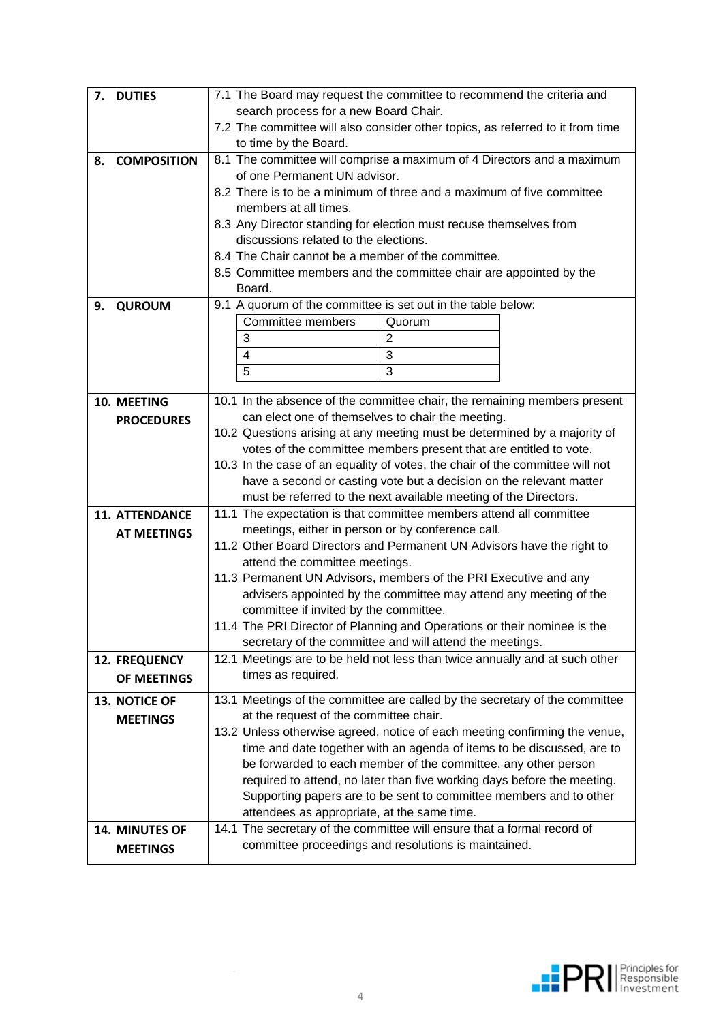| <b>DUTIES</b><br>7.      | 7.1 The Board may request the committee to recommend the criteria and                                             |  |  |  |  |
|--------------------------|-------------------------------------------------------------------------------------------------------------------|--|--|--|--|
|                          | search process for a new Board Chair.                                                                             |  |  |  |  |
|                          | 7.2 The committee will also consider other topics, as referred to it from time                                    |  |  |  |  |
|                          | to time by the Board.                                                                                             |  |  |  |  |
| <b>COMPOSITION</b><br>8. | 8.1 The committee will comprise a maximum of 4 Directors and a maximum                                            |  |  |  |  |
|                          | of one Permanent UN advisor.                                                                                      |  |  |  |  |
|                          | 8.2 There is to be a minimum of three and a maximum of five committee                                             |  |  |  |  |
|                          | members at all times.                                                                                             |  |  |  |  |
|                          | 8.3 Any Director standing for election must recuse themselves from                                                |  |  |  |  |
|                          | discussions related to the elections.                                                                             |  |  |  |  |
|                          | 8.4 The Chair cannot be a member of the committee.                                                                |  |  |  |  |
|                          | 8.5 Committee members and the committee chair are appointed by the                                                |  |  |  |  |
|                          | Board.                                                                                                            |  |  |  |  |
| <b>QUROUM</b><br>9.      | 9.1 A quorum of the committee is set out in the table below:                                                      |  |  |  |  |
|                          | Committee members<br>Quorum                                                                                       |  |  |  |  |
|                          | 3<br>$\overline{2}$                                                                                               |  |  |  |  |
|                          | 3<br>4                                                                                                            |  |  |  |  |
|                          | 5<br>3                                                                                                            |  |  |  |  |
| 10. MEETING              | 10.1 In the absence of the committee chair, the remaining members present                                         |  |  |  |  |
| <b>PROCEDURES</b>        | can elect one of themselves to chair the meeting.                                                                 |  |  |  |  |
|                          | 10.2 Questions arising at any meeting must be determined by a majority of                                         |  |  |  |  |
|                          | votes of the committee members present that are entitled to vote.                                                 |  |  |  |  |
|                          | 10.3 In the case of an equality of votes, the chair of the committee will not                                     |  |  |  |  |
|                          | have a second or casting vote but a decision on the relevant matter                                               |  |  |  |  |
|                          | must be referred to the next available meeting of the Directors.                                                  |  |  |  |  |
| <b>11. ATTENDANCE</b>    | 11.1 The expectation is that committee members attend all committee                                               |  |  |  |  |
| <b>AT MEETINGS</b>       | meetings, either in person or by conference call.                                                                 |  |  |  |  |
|                          | 11.2 Other Board Directors and Permanent UN Advisors have the right to                                            |  |  |  |  |
|                          | attend the committee meetings.                                                                                    |  |  |  |  |
|                          | 11.3 Permanent UN Advisors, members of the PRI Executive and any                                                  |  |  |  |  |
|                          | advisers appointed by the committee may attend any meeting of the                                                 |  |  |  |  |
|                          | committee if invited by the committee.                                                                            |  |  |  |  |
|                          | 11.4 The PRI Director of Planning and Operations or their nominee is the                                          |  |  |  |  |
| <b>12. FREQUENCY</b>     | secretary of the committee and will attend the meetings.                                                          |  |  |  |  |
|                          | 12.1 Meetings are to be held not less than twice annually and at such other<br>times as required.                 |  |  |  |  |
| OF MEETINGS              |                                                                                                                   |  |  |  |  |
| 13. NOTICE OF            | 13.1 Meetings of the committee are called by the secretary of the committee                                       |  |  |  |  |
| <b>MEETINGS</b>          | at the request of the committee chair.                                                                            |  |  |  |  |
|                          | 13.2 Unless otherwise agreed, notice of each meeting confirming the venue,                                        |  |  |  |  |
|                          | time and date together with an agenda of items to be discussed, are to                                            |  |  |  |  |
|                          | be forwarded to each member of the committee, any other person                                                    |  |  |  |  |
|                          | required to attend, no later than five working days before the meeting.                                           |  |  |  |  |
|                          | Supporting papers are to be sent to committee members and to other<br>attendees as appropriate, at the same time. |  |  |  |  |
| 14. MINUTES OF           | 14.1 The secretary of the committee will ensure that a formal record of                                           |  |  |  |  |
|                          | committee proceedings and resolutions is maintained.                                                              |  |  |  |  |
| <b>MEETINGS</b>          |                                                                                                                   |  |  |  |  |